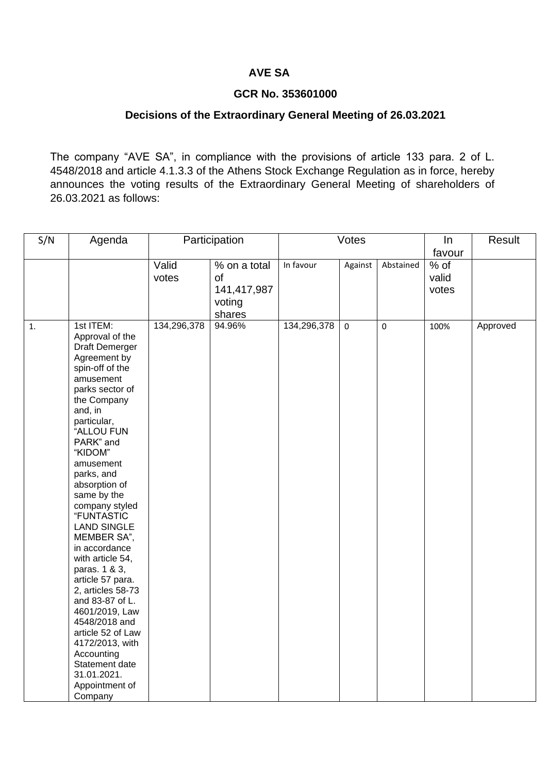## **AVE SA**

## **GCR No. 353601000**

## **Decisions of the Extraordinary General Meeting of 26.03.2021**

The company "AVE SA", in compliance with the provisions of article 133 para. 2 of L. 4548/2018 and article 4.1.3.3 of the Athens Stock Exchange Regulation as in force, hereby announces the voting results of the Extraordinary General Meeting of shareholders of 26.03.2021 as follows:

| S/N | Agenda                                                                                                                                                                                                                                                                                                                                                                                                                                                                                                                                                                                                    | Participation  |                                                       | Votes       |             |             | $\ln$                  | Result   |
|-----|-----------------------------------------------------------------------------------------------------------------------------------------------------------------------------------------------------------------------------------------------------------------------------------------------------------------------------------------------------------------------------------------------------------------------------------------------------------------------------------------------------------------------------------------------------------------------------------------------------------|----------------|-------------------------------------------------------|-------------|-------------|-------------|------------------------|----------|
|     |                                                                                                                                                                                                                                                                                                                                                                                                                                                                                                                                                                                                           |                |                                                       |             |             |             | favour                 |          |
|     |                                                                                                                                                                                                                                                                                                                                                                                                                                                                                                                                                                                                           | Valid<br>votes | % on a total<br>of<br>141,417,987<br>voting<br>shares | In favour   | Against     | Abstained   | % of<br>valid<br>votes |          |
| 1.  | 1st ITEM:<br>Approval of the<br>Draft Demerger<br>Agreement by<br>spin-off of the<br>amusement<br>parks sector of<br>the Company<br>and, in<br>particular,<br>"ALLOU FUN<br>PARK" and<br>"KIDOM"<br>amusement<br>parks, and<br>absorption of<br>same by the<br>company styled<br>"FUNTASTIC<br><b>LAND SINGLE</b><br>MEMBER SA",<br>in accordance<br>with article 54,<br>paras. 1 & 3,<br>article 57 para.<br>2, articles 58-73<br>and 83-87 of L.<br>4601/2019, Law<br>4548/2018 and<br>article 52 of Law<br>4172/2013, with<br>Accounting<br>Statement date<br>31.01.2021.<br>Appointment of<br>Company | 134,296,378    | 94.96%                                                | 134,296,378 | $\mathsf 0$ | $\mathbf 0$ | 100%                   | Approved |